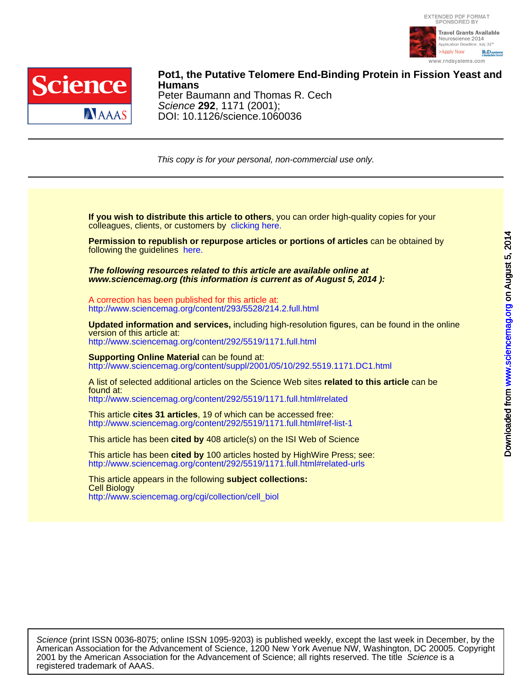



DOI: 10.1126/science.1060036 Science **292**, 1171 (2001); Peter Baumann and Thomas R. Cech **Humans Pot1, the Putative Telomere End-Binding Protein in Fission Yeast and**

This copy is for your personal, non-commercial use only.

colleagues, clients, or customers by [clicking here.](http://www.sciencemag.org/about/permissions.dtl) **If you wish to distribute this article to others**, you can order high-quality copies for your

following the guidelines [here.](http://www.sciencemag.org/about/permissions.dtl) **Permission to republish or repurpose articles or portions of articles** can be obtained by

**www.sciencemag.org (this information is current as of August 5, 2014 ): The following resources related to this article are available online at**

<http://www.sciencemag.org/content/293/5528/214.2.full.html> A correction has been published for this article at:

<http://www.sciencemag.org/content/292/5519/1171.full.html> version of this article at: **Updated information and services,** including high-resolution figures, can be found in the online

[http://www.sciencemag.org/content/suppl/2001/05/10/292.5519.1171.DC1.html](http://www.sciencemag.org/content/suppl/2001/05/10/292.5519.1171.DC1.html )  **Supporting Online Material can be found at:** 

<http://www.sciencemag.org/content/292/5519/1171.full.html#related> found at: A list of selected additional articles on the Science Web sites **related to this article** can be

<http://www.sciencemag.org/content/292/5519/1171.full.html#ref-list-1> This article **cites 31 articles**, 19 of which can be accessed free:

This article has been **cited by** 408 article(s) on the ISI Web of Science

<http://www.sciencemag.org/content/292/5519/1171.full.html#related-urls> This article has been **cited by** 100 articles hosted by HighWire Press; see:

[http://www.sciencemag.org/cgi/collection/cell\\_biol](http://www.sciencemag.org/cgi/collection/cell_biol) Cell Biology This article appears in the following **subject collections:**

registered trademark of AAAS. 2001 by the American Association for the Advancement of Science; all rights reserved. The title Science is a American Association for the Advancement of Science, 1200 New York Avenue NW, Washington, DC 20005. Copyright Science (print ISSN 0036-8075; online ISSN 1095-9203) is published weekly, except the last week in December, by the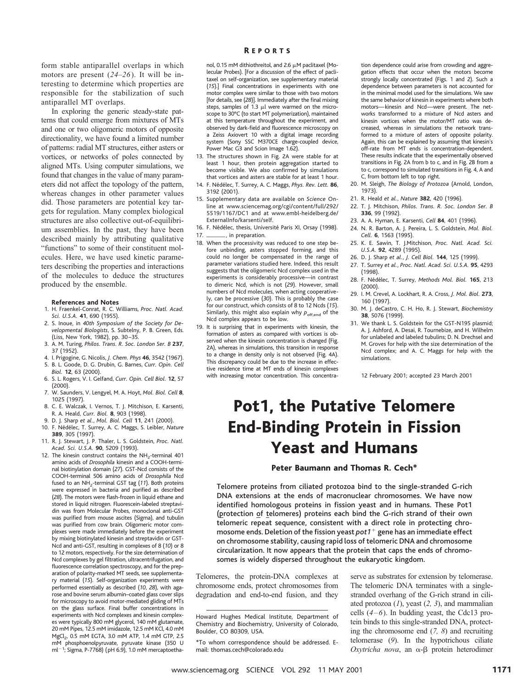form stable antiparallel overlaps in which motors are present (*24*–*26*). It will be interesting to determine which properties are responsible for the stabilization of such antiparallel MT overlaps.

In exploring the generic steady-state patterns that could emerge from mixtures of MTs and one or two oligomeric motors of opposite directionality, we have found a limited number of patterns: radial MT structures, either asters or vortices, or networks of poles connected by aligned MTs. Using computer simulations, we found that changes in the value of many parameters did not affect the topology of the pattern, whereas changes in other parameter values did. Those parameters are potential key targets for regulation. Many complex biological structures are also collective out-of-equilibrium assemblies. In the past, they have been described mainly by attributing qualitative "functions" to some of their constituent molecules. Here, we have used kinetic parameters describing the properties and interactions of the molecules to deduce the structures produced by the ensemble.

### **References and Notes**

- 1. H. Fraenkel-Conrat, R. C. Williams, *Proc. Natl. Acad. Sci. U.S.A.* **41**, 690 (1955).
- 2. S. Inoue, in *40th Symposium of the Society for Developmental Biologists*, S. Subtelny, P. B. Green, Eds. (Liss, New York, 1982), pp. 30–35.
- 3. A. M. Turing, *Philos. Trans. R. Soc. London Ser. B* **237**, 37 (1952).
- 4. I. Prigogine, G. Nicolis, *J. Chem. Phys* **46**, 3542 (1967). 5. B. L. Goode, D. G. Drubin, G. Barnes, *Curr. Opin. Cell*
- *Biol.* **12**, 63 (2000). 6. S. L. Rogers, V. I. Gelfand, *Curr. Opin. Cell Biol.* **12**, 57 (2000).
- 7. W. Saunders, V. Lengyel, M. A. Hoyt, *Mol. Biol. Cell* **8**, 1025 (1997).
- 8. C. E. Walczak, I. Vernos, T. J. Mitchison, E. Karsenti, R. A. Heald, *Curr. Biol.* **8**, 903 (1998).
- 9. D. J. Sharp *et al.*, *Mol. Biol. Cell* **11**, 241 (2000).
- 10. F. Nédélec, T. Surrey, A. C. Maggs, S. Leibler, *Nature* **389**, 305 (1997).
- 11. R. J. Stewart, J. P. Thaler, L. S. Goldstein, *Proc. Natl. Acad. Sci. U.S.A.* **90**, 5209 (1993).
- 12. The kinesin construct contains the  $NH<sub>2</sub>$ -terminal 401 amino acids of *Drosophila* kinesin and a COOH-terminal biotinylation domain (*27*). GST-Ncd consists of the COOH-terminal 506 amino acids of *Drosophila* Ncd fused to an NH<sub>2</sub>-terminal GST tag (11). Both proteins were expressed in bacteria and purified as described (*28*). The motors were flash-frozen in liquid ethane and stored in liquid nitrogen. Fluorescein-labeled streptavidin was from Molecular Probes, monoclonal anti-GST was purified from mouse ascites (Sigma), and tubulin was purified from cow brain. Oligomeric motor complexes were made immediately before the experiment by mixing biotinylated kinesin and streptavidin or GST-Ncd and anti-GST, resulting in complexes of 8 (*10*) or 8 to 12 motors, respectively. For the size determination of Ncd complexes by gel filtration, ultracentrifugation, and fluorescence correlation spectroscopy, and for the preparation of polarity-marked MT seeds, see supplementary material (*15*). Self-organization experiments were performed essentially as described (*10*, *28*), with agarose and bovine serum albumin–coated glass cover slips for microscopy to avoid motor-mediated gliding of MTs on the glass surface. Final buffer concentrations in experiments with Ncd complexes and kinesin complexes were typically 800 mM glycerol, 140 mM glutamate, 20 mM Pipes, 12.5 mM imidazole, 12.5 mM KCl, 4.0 mM MgCl<sub>2</sub>, 0.5 mM EGTA, 3.0 mM ATP, 1.4 mM GTP, 2.5 mM phosphoenolpyruvate, pyruvate kinase (350 U  $ml^{-1}$ ; Sigma, P-7768) (pH 6.9), 1.0 mM mercaptoetha-

### R EPORTS

nol, 0.15 mM dithiothreitol, and 2.6  $\mu$ M paclitaxel (Molecular Probes). [For a discussion of the effect of paclitaxel on self-organization, see supplementary material (*15*).] Final concentrations in experiments with one motor complex were similar to those with two motors [for details, see (*28*)]. Immediately after the final mixing steps, samples of 1.3  $\mu$ l were warmed on the microscope to 30°C (to start MT polymerization), maintained at this temperature throughout the experiment, and observed by dark-field and fluorescence microscopy on a Zeiss Axiovert 10 with a digital image recording system (Sony SSC M370CE charge-coupled device, Power Mac G3 and Scion Image 1.62).

- 13. The structures shown in Fig. 2A were stable for at least 1 hour, then protein aggregation started to become visible. We also confirmed by simulations that vortices and asters are stable for at least 1 hour.
- 14. F. Nédélec, T. Surrey, A. C. Maggs, *Phys. Rev. Lett.* 86, 3192 (2001).
- 15. Supplementary data are available on *Science* Online at www.sciencemag.org/cgi/content/full/292/ 5519/1167/DC1 and at www.embl-heidelberg.de/ ExternalInfo/karsenti/self.
- 16. F. Nédélec, thesis, Université Paris XI, Orsay (1998). 17. \_\_\_\_\_\_\_\_, in preparation.
- 18. When the processivity was reduced to one step before unbinding, asters stopped forming, and this could no longer be compensated in the range of parameter variations studied here. Indeed, this result suggests that the oligomeric Ncd complex used in the experiments is considerably processive—in contrast to dimeric Ncd, which is not (*29*). However, small numbers of Ncd molecules, when acting cooperatively, can be processive (*30*). This is probably the case for our construct, which consists of 8 to 12 Ncds (*15*). Similarly, this might also explain why  $p_{\text{off,end}}$  of the Ncd complex appears to be low.
- 19. It is surprising that in experiments with kinesin, the formation of asters as compared with vortices is observed when the kinesin concentration is changed (Fig. 2A), whereas in simulations, this transition in response to a change in density only is not observed (Fig. 4A). This discrepancy could be due to the increase in effective residence time at MT ends of kinesin complexes with increasing motor concentration. This concentra-

tion dependence could arise from crowding and aggregation effects that occur when the motors become strongly locally concentrated (Figs. 1 and 2). Such a dependence between parameters is not accounted for in the minimal model used for the simulations. We saw the same behavior of kinesin in experiments where both motors—kinesin and Ncd—were present. The networks transformed to a mixture of Ncd asters and kinesin vortices when the motor/MT ratio was decreased, whereas in simulations the network transformed to a mixture of asters of opposite polarity. Again, this can be explained by assuming that kinesin's off-rate from MT ends is concentration-dependent. These results indicate that the experimentally observed transitions in Fig. 2A from b to c, and in Fig. 2B from a to c, correspond to simulated transitions in Fig. 4, A and C, from bottom left to top right.

- 20. M. Sleigh, *The Biology of Protozoa* (Arnold, London, 1973).
- 21. R. Heald *et al.*, *Nature* **382**, 420 (1996).
- 22. T. J. Mitchison, *Philos. Trans. R. Soc. London Ser. B* **336**, 99 (1992).
- 23. A. A. Hyman, E. Karsenti, *Cell* **84**, 401 (1996).
- 24. N. R. Barton, A. J. Pereira, L. S. Goldstein, *Mol. Biol. Cell.* **6**, 1563 (1995).
- 25. K. E. Sawin, T. J.Mitchison, *Proc. Natl. Acad. Sci. U.S.A.* **92**, 4289 (1995).
- 26. D. J. Sharp *et al.*, *J. Cell Biol.* **144**, 125 (1999).
- 27. T. Surrey *et al.*, *Proc. Natl. Acad. Sci. U.S.A.* **95**, 4293
- (1998). 28. F. Nédélec, T. Surrey, *Methods Mol. Biol.* **165**, 213
- (2000). 29. I. M. Crevel, A. Lockhart, R. A. Cross, *J. Mol. Biol.* **273**, 160 (1997).
- 30. M. J. deCastro, C. H. Ho, R. J. Stewart, *Biochemistry* **38**, 5076 (1999)
- 31. We thank L. S. Goldstein for the GST-N195 plasmid; A. J. Ashford, A. Desai, R. Tournebize, and H. Wilhelm for unlabeled and labeled tubulins; D. N. Drechsel and M. Groves for help with the size determination of the Ncd complex; and A. C. Maggs for help with the simulations.

12 February 2001; accepted 23 March 2001

## Pot1, the Putative Telomere End-Binding Protein in Fission Yeast and Humans

## Peter Baumann and Thomas R. Cech\*

Telomere proteins from ciliated protozoa bind to the single-stranded G-rich DNA extensions at the ends of macronuclear chromosomes. We have now identified homologous proteins in fission yeast and in humans. These Pot1 (protection of telomeres) proteins each bind the G-rich strand of their own telomeric repeat sequence, consistent with a direct role in protecting chromosome ends. Deletion of the fission yeast  $pot1^+$  gene has an immediate effect on chromosome stability, causing rapid loss of telomeric DNA and chromosome circularization. It now appears that the protein that caps the ends of chromosomes is widely dispersed throughout the eukaryotic kingdom.

Telomeres, the protein-DNA complexes at chromosome ends, protect chromosomes from degradation and end-to-end fusion, and they

serve as substrates for extension by telomerase. The telomeric DNA terminates with a singlestranded overhang of the G-rich strand in ciliated protozoa (*1*), yeast (*2, 3*), and mammalian cells (*4–6*). In budding yeast, the Cdc13 protein binds to this single-stranded DNA, protecting the chromosome end (*7, 8*) and recruiting telomerase (*9*). In the hypotrichous ciliate *Oxytricha nova*, an α-β protein heterodimer

Howard Hughes Medical Institute, Department of Chemistry and Biochemistry, University of Colorado, Boulder, CO 80309, USA.

<sup>\*</sup>To whom correspondence should be addressed. Email: thomas.cech@colorado.edu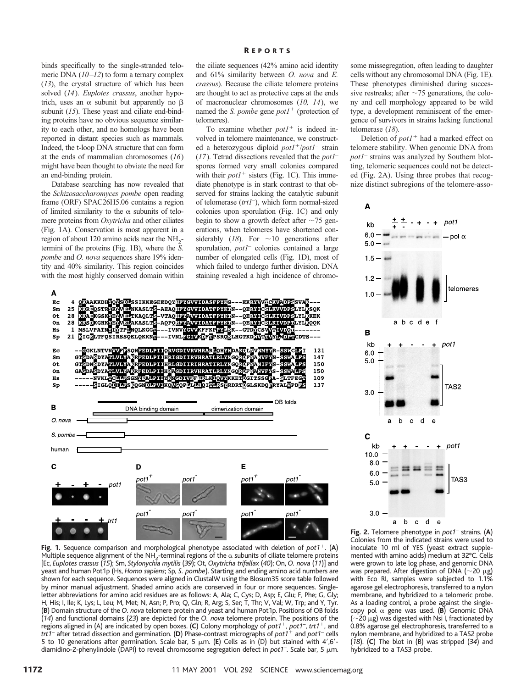binds specifically to the single-stranded telomeric DNA (*10–12*) to form a ternary complex (*13*), the crystal structure of which has been solved (*14*). *Euplotes crassus*, another hypotrich, uses an  $\alpha$  subunit but apparently no  $\beta$ subunit (*15*). These yeast and ciliate end-binding proteins have no obvious sequence similarity to each other, and no homologs have been reported in distant species such as mammals. Indeed, the t-loop DNA structure that can form at the ends of mammalian chromosomes (*16*) might have been thought to obviate the need for an end-binding protein.

Database searching has now revealed that the *Schizosaccharomyces pombe* open reading frame (ORF) SPAC26H5.06 contains a region of limited similarity to the  $\alpha$  subunits of telomere proteins from *Oxytricha* and other ciliates (Fig. 1A). Conservation is most apparent in a region of about 120 amino acids near the NH<sub>2</sub>termini of the proteins (Fig. 1B), where the *S. pombe* and *O. nova* sequences share 19% identity and 40% similarity. This region coincides with the most highly conserved domain within

the ciliate sequences (42% amino acid identity and 61% similarity between *O. nova* and *E. crassus*). Because the ciliate telomere proteins are thought to act as protective caps at the ends of macronuclear chromosomes (*10, 14*), we named the *S. pombe* gene  $pot1<sup>+</sup>$  (protection of telomeres).

To examine whether  $pot1<sup>+</sup>$  is indeed involved in telomere maintenance, we constructed a heterozygous diploid  $pot1^{+}/pot1^{-}$  strain (*17*). Tetrad dissections revealed that the *pot1*– spores formed very small colonies compared with their  $pot1<sup>+</sup>$  sisters (Fig. 1C). This immediate phenotype is in stark contrast to that observed for strains lacking the catalytic subunit of telomerase (*trt1*– ), which form normal-sized colonies upon sporulation (Fig. 1C) and only begin to show a growth defect after  $\sim$ 75 generations, when telomeres have shortened considerably  $(18)$ . For  $\sim 10$  generations after sporulation, *pot1*– colonies contained a large number of elongated cells (Fig. 1D), most of which failed to undergo further division. DNA staining revealed a high incidence of chromo-

A 4 QKAAKKDH<mark>VQVSDI</mark>SSIKKEGEEDQYHFYGVVIDASFPYKG---EKRYVVLCKVADPSSVAK---<br>25 KRREQSTRYKVVBIMKASLTS-AEAQHFYGVVIDATFPYKTN--QERYICSLKVVDPSLYLKSQK<br>28 KRAEKGSKYBYVBITKAQLTS-VTAQHFYAVVIDATFPYKTN--QERYICSLKIVDPSLYLKKEK<br>28 KKSDKGHKYBY  $\mathbf{E}\mathbf{C}$  $\mathbf{Sm}$  $\hbox{\bf ot}$ On  $_{\rm HS}$ Sp --CGKLNTVNVVFSONFEDLPIIQRVGDIVRVHRARLQHYNDAKOLNVMWYR-SSWCLFI<br>GTCDASDYATLVLYAKRFEDLPIIHRIGDIIRVHRATLRLYNGQRQFNANVFYN-SSMALFS<br>GTCDNSDYATLVLYAKRFEDLPIIHRLGDIIRIHRATLRLYNGQRQFNANIFYS-SSMALFS<br>GACDASDYATLVLYAKRFEDLPIIHRACDIIRIHR Ec 121  $\mathbf{Sm}$ 147 **ot** 150 150 On Hs 109 Sp 137 OB folds B DNA binding domain dimerization domain O. nova S. pombe human E Ć D pot1 pot1 pot<sub>1</sub> pot1 pot1 pot1 pot1 pot1 pot1  $trt1$  $\bullet$ 

**Fig. 1.** Sequence comparison and morphological phenotype associated with deletion of *pot1*<sup>+</sup>. (A) Multiple sequence alignment of the NH<sub>2</sub>-terminal regions of the  $\alpha$  subunits of ciliate telomere proteins [Ec, *Euplotes crassus* (*15*); Sm, *Stylonychia mytilis* (*39*); Ot, *Oxytricha trifallax* (*40*); On, *O. nova* (*11*)] and yeast and human Pot1p (Hs, *Homo sapiens*; Sp, *S. pombe*). Starting and ending amino acid numbers are shown for each sequence. Sequences were aligned in ClustalW using the Blosum35 score table followed by minor manual adjustment. Shaded amino acids are conserved in four or more sequences. Singleletter abbreviations for amino acid residues are as follows: A, Ala; C, Cys; D, Asp; E, Glu; F, Phe; G, Gly; H, His; I, Ile; K, Lys; L, Leu; M, Met; N, Asn; P, Pro; Q, Gln; R, Arg; S, Ser; T, Thr; V, Val; W, Trp; and Y, Tyr. (**B**) Domain structure of the *O. nova* telomere protein and yeast and human Pot1p. Positions of OB folds (*14*) and functional domains (*23*) are depicted for the *O. nova* telomere protein. The positions of the regions aligned in (A) are indicated by open boxes. (**C**) Colony morphology of *pot1*1, *pot1*– , *trt1*1, and *trt1*– after tetrad dissection and germination. (**D**) Phase-contrast micrographs of *pot1*<sup>1</sup> and *pot1*– cells 5 to 10 generations after germination. Scale bar, 5  $\mu$ m. (**E**) Cells as in (D) but stained with 4',6'diamidino-2-phenylindole (DAPI) to reveal chromosome segregation defect in *pot1*<sup>-</sup>. Scale bar, 5 µm.

some missegregation, often leading to daughter cells without any chromosomal DNA (Fig. 1E). These phenotypes diminished during successive restreaks; after  $\sim$ 75 generations, the colony and cell morphology appeared to be wild type, a development reminiscent of the emergence of survivors in strains lacking functional telomerase (*18*).

Deletion of  $pot1<sup>+</sup>$  had a marked effect on telomere stability. When genomic DNA from *pot1*– strains was analyzed by Southern blotting, telomeric sequences could not be detected (Fig. 2A). Using three probes that recognize distinct subregions of the telomere-asso-



**Fig. 2.** Telomere phenotype in *pot1*– strains. (**A**) Colonies from the indicated strains were used to inoculate 10 ml of YES (yeast extract supplemented with amino acids) medium at 32°C. Cells were grown to late log phase, and genomic DNA was prepared. After digestion of DNA ( $\sim$ 20  $\mu$ g) with Eco RI, samples were subjected to 1.1% agarose gel electrophoresis, transferred to a nylon membrane, and hybridized to a telomeric probe. As a loading control, a probe against the singlecopy pol a gene was used. (**B**) Genomic DNA  $\sim$ 20  $\mu$ g) was digested with Nsi I, fractionated by 0.8% agarose gel electrophoresis, transferred to a nylon membrane, and hybridized to a TAS2 probe (*18*). (**C**) The blot in (B) was stripped (*34*) and hybridized to a TAS3 probe.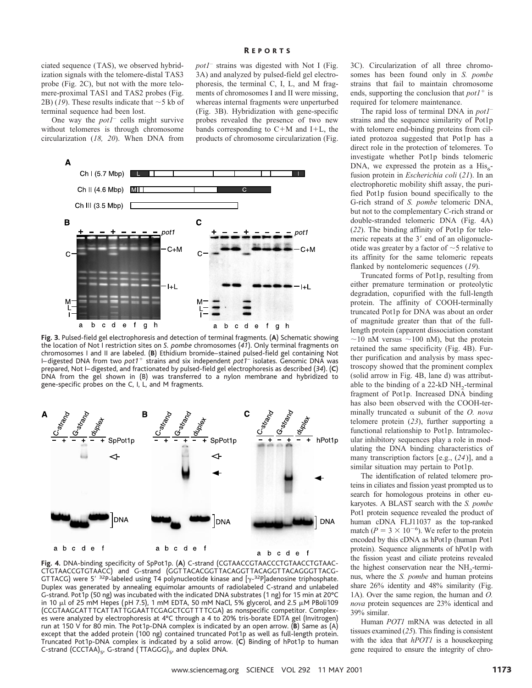ciated sequence (TAS), we observed hybridization signals with the telomere-distal TAS3 probe (Fig. 2C), but not with the more telomere-proximal TAS1 and TAS2 probes (Fig. 2B) (19). These results indicate that  $\sim$  5 kb of terminal sequence had been lost.

One way the *pot1*– cells might survive without telomeres is through chromosome circularization (*18, 20*). When DNA from *pot1*– strains was digested with Not I (Fig. 3A) and analyzed by pulsed-field gel electrophoresis, the terminal C, I, L, and M fragments of chromosomes I and II were missing, whereas internal fragments were unperturbed (Fig. 3B). Hybridization with gene-specific probes revealed the presence of two new bands corresponding to  $C+M$  and  $I+L$ , the products of chromosome circularization (Fig.

R EPORTS



**Fig. 3.** Pulsed-field gel electrophoresis and detection of terminal fragments. (**A**) Schematic showing the location of Not I restriction sites on *S. pombe* chromosomes (*41*). Only terminal fragments on chromosomes I and II are labeled. (**B**) Ethidium bromide–stained pulsed-field gel containing Not I-digested DNA from two *pot1<sup>+</sup>* strains and six independent *pot1*<sup>-</sup> isolates. Genomic DNA was prepared, Not I–digested, and fractionated by pulsed-field gel electrophoresis as described (*34*). (**C**) DNA from the gel shown in (B) was transferred to a nylon membrane and hybridized to gene-specific probes on the C, I, L, and M fragments.



**Fig. 4.** DNA-binding specificity of SpPot1p. (**A**) C-strand (CGTAACCGTAACCCTGTAACCTGTAAC-CTGTAACCGTGTAACC) and G-strand (GGTTACACGGTTACAGGTTACAGGTTACAGGGTTACG-GTTACG) were 5'  $32P$ -labeled using T4 polynucleotide kinase and  $[\gamma^{-32}P]$ adenosine triphosphate. Duplex was generated by annealing equimolar amounts of radiolabeled C-strand and unlabeled G-strand. Pot1p (50 ng) was incubated with the indicated DNA substrates (1 ng) for 15 min at 20°C in 10  $\mu$ l of 25 mM Hepes (pH 7.5), 1 mM EDTA, 50 mM NaCl, 5% glycerol, and 2.5  $\mu$ M PBoli109 (CCGTAAGCATTTCATTATTGGAATTCGAGCTCGTTTTCGA) as nonspecific competitor. Complexes were analyzed by electrophoresis at 4°C through a 4 to 20% tris-borate EDTA gel (Invitrogen) run at 150 V for 80 min. The Pot1p-DNA complex is indicated by an open arrow. (**B**) Same as (A) except that the added protein (100 ng) contained truncated Pot1p as well as full-length protein. Truncated Pot1p-DNA complex is indicated by a solid arrow. (**C**) Binding of hPot1p to human C-strand (CCCTAA)<sub>5</sub>, G-strand (TTAGGG)<sub>5</sub>, and duplex DNA.

3C). Circularization of all three chromosomes has been found only in *S. pombe* strains that fail to maintain chromosome ends, supporting the conclusion that  $pot1<sup>+</sup>$  is required for telomere maintenance.

The rapid loss of terminal DNA in *pot1*– strains and the sequence similarity of Pot1p with telomere end-binding proteins from ciliated protozoa suggested that Pot1p has a direct role in the protection of telomeres. To investigate whether Pot1p binds telomeric DNA, we expressed the protein as a  $His<sub>6</sub>$ fusion protein in *Escherichia coli* (*21*). In an electrophoretic mobility shift assay, the purified Pot1p fusion bound specifically to the G-rich strand of *S. pombe* telomeric DNA, but not to the complementary C-rich strand or double-stranded telomeric DNA (Fig. 4A) (*22*). The binding affinity of Pot1p for telomeric repeats at the 3' end of an oligonucleotide was greater by a factor of  $\sim$  5 relative to its affinity for the same telomeric repeats flanked by nontelomeric sequences (*19*).

Truncated forms of Pot1p, resulting from either premature termination or proteolytic degradation, copurified with the full-length protein. The affinity of COOH-terminally truncated Pot1p for DNA was about an order of magnitude greater than that of the fulllength protein (apparent dissociation constant  $\sim$ 10 nM versus  $\sim$ 100 nM), but the protein retained the same specificity (Fig. 4B). Further purification and analysis by mass spectroscopy showed that the prominent complex (solid arrow in Fig. 4B, lane d) was attributable to the binding of a  $22-kD NH$ ,-terminal fragment of Pot1p. Increased DNA binding has also been observed with the COOH-terminally truncated a subunit of the *O. nova* telomere protein (*23*), further supporting a functional relationship to Pot1p. Intramolecular inhibitory sequences play a role in modulating the DNA binding characteristics of many transcription factors [e.g., (*24*)], and a similar situation may pertain to Pot1p.

The identification of related telomere proteins in ciliates and fission yeast prompted us to search for homologous proteins in other eukaryotes. A BLAST search with the *S. pombe* Pot1 protein sequence revealed the product of human cDNA FLJ11037 as the top-ranked match ( $P = 3 \times 10^{-6}$ ). We refer to the protein encoded by this cDNA as hPot1p (human Pot1 protein). Sequence alignments of hPot1p with the fission yeast and ciliate proteins revealed the highest conservation near the  $NH<sub>2</sub>$ -terminus, where the *S. pombe* and human proteins share 26% identity and 48% similarity (Fig. 1A). Over the same region, the human and *O. nova* protein sequences are 23% identical and 39% similar.

Human *POT1* mRNA was detected in all tissues examined (*25*). This finding is consistent with the idea that *hPOT1* is a housekeeping gene required to ensure the integrity of chro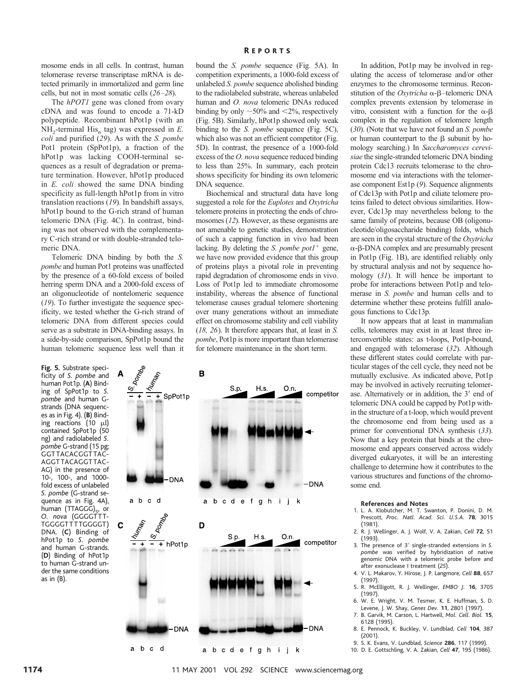mosome ends in all cells. In contrast, human telomerase reverse transcriptase mRNA is detected primarily in immortalized and germ line cells, but not in most somatic cells (*26–28*).

The *hPOT1* gene was cloned from ovary cDNA and was found to encode a 71-kD polypeptide. Recombinant hPot1p (with an  $NH<sub>2</sub>$ -terminal His<sub>6</sub> tag) was expressed in *E*. *coli* and purified (*29*). As with the *S. pombe* Pot1 protein (SpPot1p), a fraction of the hPot1p was lacking COOH-terminal sequences as a result of degradation or premature termination. However, hPot1p produced in *E. coli* showed the same DNA binding specificity as full-length hPot1p from in vitro translation reactions (*19*). In bandshift assays, hPot1p bound to the G-rich strand of human telomeric DNA (Fig. 4C). In contrast, binding was not observed with the complementary C-rich strand or with double-stranded telomeric DNA.

Telomeric DNA binding by both the *S. pombe* and human Pot1 proteins was unaffected by the presence of a 60-fold excess of boiled herring sperm DNA and a 2000-fold excess of an oligonucleotide of nontelomeric sequence (*19*). To further investigate the sequence specificity, we tested whether the G-rich strand of telomeric DNA from different species could serve as a substrate in DNA-binding assays. In a side-by-side comparison, SpPot1p bound the human telomeric sequence less well than it

A

 $\mathbf C$ 

**Fig. 5.** Substrate specificity of *S. pombe* and human Pot1p. (**A**) Binding of SpPot1p to *S. pombe* and human Gstrands (DNA sequences as in Fig. 4). (**B**) Binding reactions (10  $\mu$ l) contained SpPot1p (50 ng) and radiolabeled *S. pombe* G-strand (15 pg; GGTTACACGGTTAC-AGGTTACAGGTTAC-AG) in the presence of 10-, 100-, and 1000 fold excess of unlabeled *S. pombe* (G-strand sequence as in Fig. 4A), human  $(TTAGGG)_{5}$ , or *O. nova* (GGGGTTT-TGGGGTTTTGGGGT) DNA. (**C**) Binding of hPot1p to *S. pombe* and human G-strands. (**D**) Binding of hPot1p to human G-strand under the same conditions as in (B).



R EPORTS

bound the *S. pombe* sequence (Fig. 5A). In competition experiments, a 1000-fold excess of unlabeled *S. pombe* sequence abolished binding to the radiolabeled substrate, whereas unlabeled human and *O. nova* telomeric DNAs reduced binding by only  $\sim$  50% and  $\lt$ 2%, respectively (Fig. 5B). Similarly, hPot1p showed only weak binding to the *S. pombe* sequence (Fig. 5C), which also was not an efficient competitor (Fig. 5D). In contrast, the presence of a 1000-fold excess of the *O. nova* sequence reduced binding to less than 25%. In summary, each protein shows specificity for binding its own telomeric DNA sequence.

Biochemical and structural data have long suggested a role for the *Euplotes* and *Oxytricha* telomere proteins in protecting the ends of chromosomes (*12*). However, as these organisms are not amenable to genetic studies, demonstration of such a capping function in vivo had been lacking. By deleting the *S. pombe pot* $1^+$  gene, we have now provided evidence that this group of proteins plays a pivotal role in preventing rapid degradation of chromosome ends in vivo. Loss of Pot1p led to immediate chromosome instability, whereas the absence of functional telomerase causes gradual telomere shortening over many generations without an immediate effect on chromosome stability and cell viability (*18, 26*). It therefore appears that, at least in *S. pombe*, Pot1p is more important than telomerase for telomere maintenance in the short term.

In addition, Pot1p may be involved in regulating the access of telomerase and/or other enzymes to the chromosome terminus. Reconstitution of the *Oxytricha*  $\alpha$ - $\beta$ –telomeric DNA complex prevents extension by telomerase in vitro, consistent with a function for the  $\alpha$ - $\beta$ complex in the regulation of telomere length (*30*). (Note that we have not found an *S. pombe* or human counterpart to the  $\beta$  subunit by homology searching.) In *Saccharomyces cerevisiae* the single-stranded telomeric DNA binding protein Cdc13 recruits telomerase to the chromosome end via interactions with the telomerase component Est1p (*9*). Sequence alignments of Cdc13p with Pot1p and ciliate telomere proteins failed to detect obvious similarities. However, Cdc13p may nevertheless belong to the same family of proteins, because OB (oligonucleotide/oligosaccharide binding) folds, which are seen in the crystal structure of the *Oxytricha*  $\alpha$ - $\beta$ -DNA complex and are presumably present in Pot1p (Fig. 1B), are identified reliably only by structural analysis and not by sequence homology (*31*). It will hence be important to probe for interactions between Pot1p and telomerase in *S. pombe* and human cells and to determine whether these proteins fulfill analogous functions to Cdc13p.

It now appears that at least in mammalian cells, telomeres may exist in at least three interconvertible states: as t-loops, Pot1p-bound, and engaged with telomerase (*32*). Although these different states could correlate with particular stages of the cell cycle, they need not be mutually exclusive. As indicated above, Pot1p may be involved in actively recruiting telomerase. Alternatively or in addition, the 3' end of telomeric DNA could be capped by Pot1p within the structure of a t-loop, which would prevent the chromosome end from being used as a primer for conventional DNA synthesis (*33*). Now that a key protein that binds at the chromosome end appears conserved across widely diverged eukaryotes, it will be an interesting challenge to determine how it contributes to the various structures and functions of the chromosome end.

#### **References and Notes**

- 1. L. A. Klobutcher, M. T. Swanton, P. Donini, D. M. Prescott, *Proc. Natl. Acad. Sci. U.S.A.* **78**, 3015 (1981).
- 2. R. J. Wellinger, A. J. Wolf, V. A. Zakian, *Cell* **72**, 51 (1993).
- 3. The presence of 3' single-stranded extensions in S. *pombe* was verified by hybridization of native genomic DNA with a telomeric probe before and after exonuclease I treatment (*25*).
- 4. V. L. Makarov, Y. Hirose, J. P. Langmore, *Cell* **88**, 657 (1997).
- 5. R. McElligott, R. J. Wellinger, *EMBO J.* **16**, 3705 (1997).
- 6. W. E. Wright, V. M. Tesmer, K. E. Huffman, S. D. Levene, J. W. Shay, *Genes Dev.* **11**, 2801 (1997). 7. B. Garvik, M. Carson, L. Hartwell, *Mol. Cell. Biol.* **15**,
- 6128 (1995). 8. E. Pennock, K. Buckley, V. Lundblad, *Cell* **104**, 387
- (2001). 9. S. K. Evans, V. Lundblad, *Science* **286**, 117 (1999).
- 
- 10. D. E. Gottschling, V. A. Zakian, *Cell* **47**, 195 (1986).